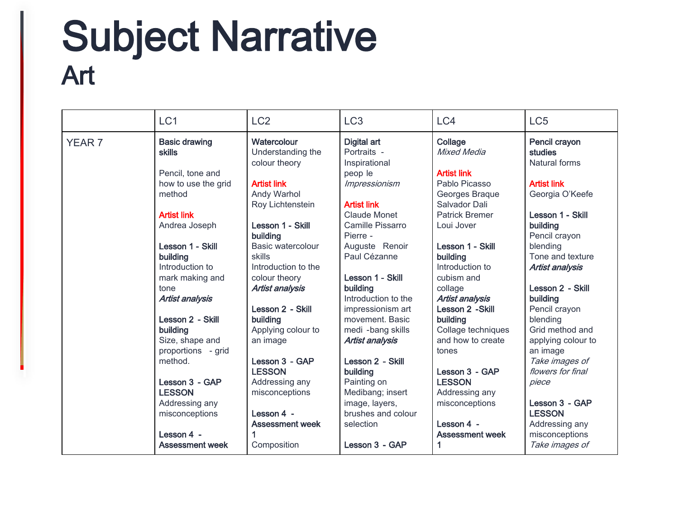# Subject Narrative<br>Art

|               | LC <sub>1</sub>                                                                                                                                                                                                                                                                                                                                 | LC <sub>2</sub>                                                                                                                                                                                                                                                                                                                                                                  | LC <sub>3</sub>                                                                                                                                                                                                                                                                                                                                                              | LC4                                                                                                                                                                                                                                                                                                                                                                         | LC <sub>5</sub>                                                                                                                                                                                                                                                                                                                                                 |
|---------------|-------------------------------------------------------------------------------------------------------------------------------------------------------------------------------------------------------------------------------------------------------------------------------------------------------------------------------------------------|----------------------------------------------------------------------------------------------------------------------------------------------------------------------------------------------------------------------------------------------------------------------------------------------------------------------------------------------------------------------------------|------------------------------------------------------------------------------------------------------------------------------------------------------------------------------------------------------------------------------------------------------------------------------------------------------------------------------------------------------------------------------|-----------------------------------------------------------------------------------------------------------------------------------------------------------------------------------------------------------------------------------------------------------------------------------------------------------------------------------------------------------------------------|-----------------------------------------------------------------------------------------------------------------------------------------------------------------------------------------------------------------------------------------------------------------------------------------------------------------------------------------------------------------|
| <b>YEAR 7</b> | <b>Basic drawing</b><br><b>skills</b><br>Pencil, tone and<br>how to use the grid<br>method<br><b>Artist link</b><br>Andrea Joseph<br>Lesson 1 - Skill<br>building<br>Introduction to<br>mark making and<br>tone<br><b>Artist analysis</b><br>Lesson 2 - Skill<br>building<br>Size, shape and<br>proportions - grid<br>method.<br>Lesson 3 - GAP | Watercolour<br>Understanding the<br>colour theory<br><b>Artist link</b><br><b>Andy Warhol</b><br>Roy Lichtenstein<br>Lesson 1 - Skill<br>building<br><b>Basic watercolour</b><br>skills<br>Introduction to the<br>colour theory<br><b>Artist analysis</b><br>Lesson 2 - Skill<br>building<br>Applying colour to<br>an image<br>Lesson 3 - GAP<br><b>LESSON</b><br>Addressing any | Digital art<br>Portraits -<br>Inspirational<br>peop le<br>Impressionism<br><b>Artist link</b><br>Claude Monet<br>Camille Pissarro<br>Pierre -<br>Auguste Renoir<br>Paul Cézanne<br>Lesson 1 - Skill<br>building<br>Introduction to the<br>impressionism art<br>movement. Basic<br>medi -bang skills<br><b>Artist analysis</b><br>Lesson 2 - Skill<br>building<br>Painting on | Collage<br><b>Mixed Media</b><br><b>Artist link</b><br>Pablo Picasso<br>Georges Braque<br>Salvador Dali<br><b>Patrick Bremer</b><br>Loui Jover<br>Lesson 1 - Skill<br>building<br>Introduction to<br>cubism and<br>collage<br><b>Artist analysis</b><br>Lesson 2 - Skill<br>building<br>Collage techniques<br>and how to create<br>tones<br>Lesson 3 - GAP<br><b>LESSON</b> | Pencil crayon<br>studies<br>Natural forms<br><b>Artist link</b><br>Georgia O'Keefe<br>Lesson 1 - Skill<br>building<br>Pencil crayon<br>blending<br>Tone and texture<br><b>Artist analysis</b><br>Lesson 2 - Skill<br>building<br>Pencil crayon<br>blending<br>Grid method and<br>applying colour to<br>an image<br>Take images of<br>flowers for final<br>piece |
|               | <b>LESSON</b><br>Addressing any                                                                                                                                                                                                                                                                                                                 | misconceptions                                                                                                                                                                                                                                                                                                                                                                   | Medibang; insert<br>image, layers,                                                                                                                                                                                                                                                                                                                                           | Addressing any<br>misconceptions                                                                                                                                                                                                                                                                                                                                            | Lesson 3 - GAP                                                                                                                                                                                                                                                                                                                                                  |
|               | misconceptions                                                                                                                                                                                                                                                                                                                                  | Lesson 4 -<br><b>Assessment week</b>                                                                                                                                                                                                                                                                                                                                             | brushes and colour<br>selection                                                                                                                                                                                                                                                                                                                                              | Lesson 4 -                                                                                                                                                                                                                                                                                                                                                                  | <b>LESSON</b><br>Addressing any                                                                                                                                                                                                                                                                                                                                 |
|               | Lesson 4 -<br><b>Assessment week</b>                                                                                                                                                                                                                                                                                                            | Composition                                                                                                                                                                                                                                                                                                                                                                      | Lesson 3 - GAP                                                                                                                                                                                                                                                                                                                                                               | <b>Assessment week</b><br>1                                                                                                                                                                                                                                                                                                                                                 | misconceptions<br>Take images of                                                                                                                                                                                                                                                                                                                                |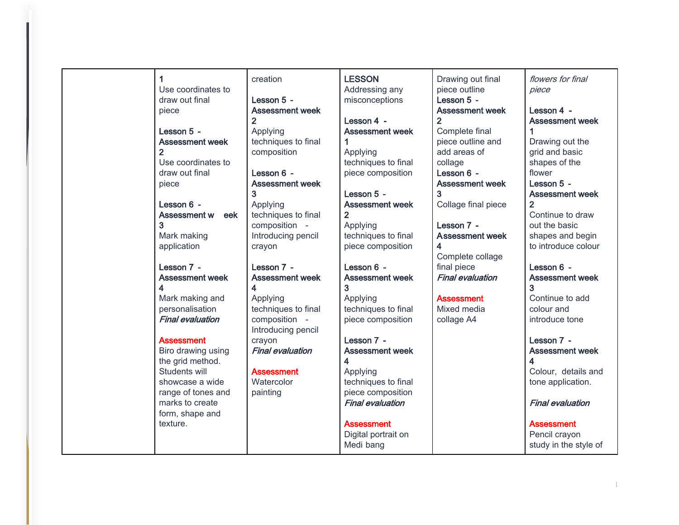| 1                          | creation                | <b>LESSON</b>                    | Drawing out final       | flowers for final                       |
|----------------------------|-------------------------|----------------------------------|-------------------------|-----------------------------------------|
| Use coordinates to         |                         | Addressing any                   | piece outline           | piece                                   |
| draw out final             | Lesson 5 -              | misconceptions                   | Lesson 5 -              |                                         |
| piece                      | <b>Assessment week</b>  |                                  | <b>Assessment week</b>  | Lesson 4 -                              |
|                            | $\overline{2}$          | Lesson 4 -                       | $\overline{2}$          | <b>Assessment week</b>                  |
| Lesson 5 -                 | Applying                | <b>Assessment week</b>           | Complete final          |                                         |
| <b>Assessment week</b>     | techniques to final     | 1                                | piece outline and       | Drawing out the                         |
| $\overline{2}$             | composition             | Applying                         | add areas of            | grid and basic                          |
| Use coordinates to         |                         | techniques to final              | collage                 | shapes of the                           |
| draw out final             | Lesson 6 -              | piece composition                | Lesson 6 -              | flower                                  |
| piece                      | <b>Assessment week</b>  |                                  | <b>Assessment week</b>  | Lesson 5 -                              |
|                            | 3                       | Lesson 5 -                       | 3                       | <b>Assessment week</b>                  |
| Lesson 6 -                 | Applying                | <b>Assessment week</b>           | Collage final piece     | $\overline{2}$                          |
| <b>Assessment w</b><br>eek | techniques to final     | $\overline{2}$                   |                         | Continue to draw                        |
| 3                          | composition -           |                                  | Lesson 7 -              | out the basic                           |
|                            |                         | Applying                         | <b>Assessment week</b>  |                                         |
| Mark making                | Introducing pencil      | techniques to final              | 4                       | shapes and begin<br>to introduce colour |
| application                | crayon                  | piece composition                |                         |                                         |
|                            |                         |                                  | Complete collage        |                                         |
| Lesson 7 -                 | Lesson 7 -              | Lesson 6 -                       | final piece             | Lesson 6 -                              |
| <b>Assessment week</b>     | <b>Assessment week</b>  | <b>Assessment week</b>           | <b>Final evaluation</b> | <b>Assessment week</b>                  |
| 4                          | 4                       | 3                                |                         | 3                                       |
|                            |                         |                                  |                         |                                         |
| Mark making and            | Applying                | Applying                         | <b>Assessment</b>       | Continue to add                         |
| personalisation            | techniques to final     | techniques to final              | Mixed media             | colour and                              |
| <b>Final evaluation</b>    | composition -           | piece composition                | collage A4              | introduce tone                          |
|                            | Introducing pencil      |                                  |                         |                                         |
| <b>Assessment</b>          | crayon                  | Lesson 7 -                       |                         | Lesson 7 -                              |
| Biro drawing using         | <b>Final evaluation</b> | <b>Assessment week</b>           |                         | <b>Assessment week</b>                  |
| the grid method.           |                         | 4                                |                         | 4                                       |
| Students will              | <b>Assessment</b>       | Applying                         |                         | Colour, details and                     |
| showcase a wide            | Watercolor              | techniques to final              |                         | tone application.                       |
| range of tones and         | painting                | piece composition                |                         |                                         |
| marks to create            |                         | <b>Final evaluation</b>          |                         | <b>Final evaluation</b>                 |
| form, shape and            |                         |                                  |                         |                                         |
| texture.                   |                         | <b>Assessment</b>                |                         | <b>Assessment</b>                       |
|                            |                         | Digital portrait on<br>Medi bang |                         | Pencil crayon<br>study in the style of  |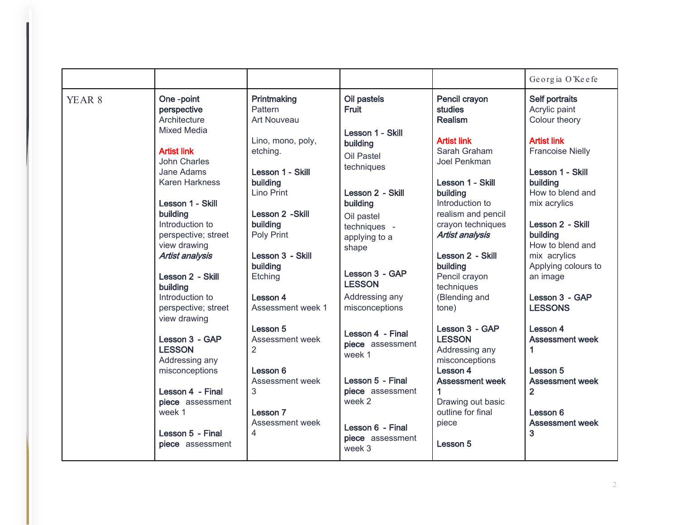|                   |                                                                                                                                                                                                                                                                                                                                                           |                                                                                                                                                                                                                                                |                                                                                                                                                                                                                                                        |                                                                                                                                                                                                                                                                                                                          | Georgia O'Keefe                                                                                                                                                                                                                                                                                                  |
|-------------------|-----------------------------------------------------------------------------------------------------------------------------------------------------------------------------------------------------------------------------------------------------------------------------------------------------------------------------------------------------------|------------------------------------------------------------------------------------------------------------------------------------------------------------------------------------------------------------------------------------------------|--------------------------------------------------------------------------------------------------------------------------------------------------------------------------------------------------------------------------------------------------------|--------------------------------------------------------------------------------------------------------------------------------------------------------------------------------------------------------------------------------------------------------------------------------------------------------------------------|------------------------------------------------------------------------------------------------------------------------------------------------------------------------------------------------------------------------------------------------------------------------------------------------------------------|
| YEAR <sub>8</sub> | One-point<br>perspective<br>Architecture<br><b>Mixed Media</b><br><b>Artist link</b><br><b>John Charles</b><br>Jane Adams<br><b>Karen Harkness</b><br>Lesson 1 - Skill<br>building<br>Introduction to<br>perspective; street<br>view drawing<br>Artist analysis<br>Lesson 2 - Skill<br>building<br>Introduction to<br>perspective; street<br>view drawing | Printmaking<br>Pattern<br>Art Nouveau<br>Lino, mono, poly,<br>etching.<br>Lesson 1 - Skill<br>building<br>Lino Print<br>Lesson 2 - Skill<br>building<br>Poly Print<br>Lesson 3 - Skill<br>building<br>Etching<br>Lesson 4<br>Assessment week 1 | Oil pastels<br><b>Fruit</b><br>Lesson 1 - Skill<br>building<br>Oil Pastel<br>techniques<br>Lesson 2 - Skill<br>building<br>Oil pastel<br>techniques -<br>applying to a<br>shape<br>Lesson 3 - GAP<br><b>LESSON</b><br>Addressing any<br>misconceptions | Pencil crayon<br><b>studies</b><br><b>Realism</b><br><b>Artist link</b><br>Sarah Graham<br>Joel Penkman<br>Lesson 1 - Skill<br>building<br>Introduction to<br>realism and pencil<br>crayon techniques<br><b>Artist analysis</b><br>Lesson 2 - Skill<br>building<br>Pencil crayon<br>techniques<br>(Blending and<br>tone) | Self portraits<br>Acrylic paint<br>Colour theory<br><b>Artist link</b><br><b>Francoise Nielly</b><br>Lesson 1 - Skill<br>building<br>How to blend and<br>mix acrylics<br>Lesson 2 - Skill<br>building<br>How to blend and<br>mix acrylics<br>Applying colours to<br>an image<br>Lesson 3 - GAP<br><b>LESSONS</b> |
|                   | Lesson 3 - GAP<br><b>LESSON</b><br>Addressing any<br>misconceptions<br>Lesson 4 - Final<br>piece assessment<br>week 1<br>Lesson 5 - Final<br>piece assessment                                                                                                                                                                                             | Lesson 5<br>Assessment week<br>2<br>Lesson 6<br>Assessment week<br>3<br>Lesson 7<br>Assessment week<br>$\overline{4}$                                                                                                                          | Lesson 4 - Final<br>piece assessment<br>week 1<br>Lesson 5 - Final<br>piece assessment<br>week 2<br>Lesson 6 - Final<br>piece assessment<br>week 3                                                                                                     | Lesson 3 - GAP<br><b>LESSON</b><br>Addressing any<br>misconceptions<br>Lesson 4<br><b>Assessment week</b><br>Drawing out basic<br>outline for final<br>piece<br>Lesson 5                                                                                                                                                 | Lesson 4<br><b>Assessment week</b><br>1<br>Lesson 5<br><b>Assessment week</b><br>$\overline{2}$<br>Lesson 6<br><b>Assessment week</b><br>3                                                                                                                                                                       |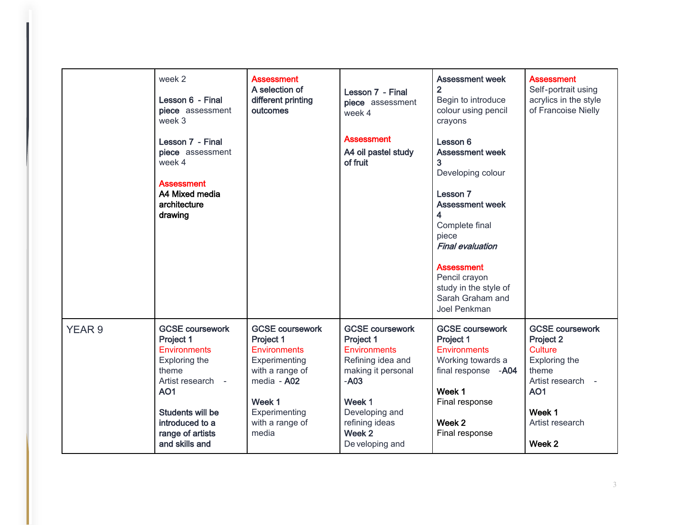|                   | week 2<br>Lesson 6 - Final<br>piece assessment<br>week 3<br>Lesson 7 - Final<br>piece assessment<br>week 4<br><b>Assessment</b><br>A4 Mixed media<br>architecture<br>drawing                         | <b>Assessment</b><br>A selection of<br>different printing<br>outcomes                                                                                                | Lesson 7 - Final<br>piece assessment<br>week 4<br><b>Assessment</b><br>A4 oil pastel study<br>of fruit                                                                                      | <b>Assessment week</b><br>$\overline{2}$<br>Begin to introduce<br>colour using pencil<br>crayons<br>Lesson 6<br><b>Assessment week</b><br>3<br>Developing colour<br>Lesson 7<br><b>Assessment week</b><br>4<br>Complete final<br>piece<br><b>Final evaluation</b><br><b>Assessment</b><br>Pencil crayon<br>study in the style of<br>Sarah Graham and<br>Joel Penkman | <b>Assessment</b><br>Self-portrait using<br>acrylics in the style<br>of Francoise Nielly                                                                  |
|-------------------|------------------------------------------------------------------------------------------------------------------------------------------------------------------------------------------------------|----------------------------------------------------------------------------------------------------------------------------------------------------------------------|---------------------------------------------------------------------------------------------------------------------------------------------------------------------------------------------|----------------------------------------------------------------------------------------------------------------------------------------------------------------------------------------------------------------------------------------------------------------------------------------------------------------------------------------------------------------------|-----------------------------------------------------------------------------------------------------------------------------------------------------------|
| YEAR <sub>9</sub> | <b>GCSE coursework</b><br>Project 1<br><b>Environments</b><br>Exploring the<br>theme<br>Artist research -<br><b>AO1</b><br>Students will be<br>introduced to a<br>range of artists<br>and skills and | <b>GCSE coursework</b><br>Project 1<br><b>Environments</b><br>Experimenting<br>with a range of<br>media - A02<br>Week 1<br>Experimenting<br>with a range of<br>media | <b>GCSE coursework</b><br>Project 1<br><b>Environments</b><br>Refining idea and<br>making it personal<br>$- A03$<br>Week 1<br>Developing and<br>refining ideas<br>Week 2<br>De veloping and | <b>GCSE coursework</b><br>Project 1<br><b>Environments</b><br>Working towards a<br>final response -A04<br>Week 1<br>Final response<br>Week 2<br>Final response                                                                                                                                                                                                       | <b>GCSE coursework</b><br>Project 2<br><b>Culture</b><br>Exploring the<br>theme<br>Artist research -<br><b>AO1</b><br>Week 1<br>Artist research<br>Week 2 |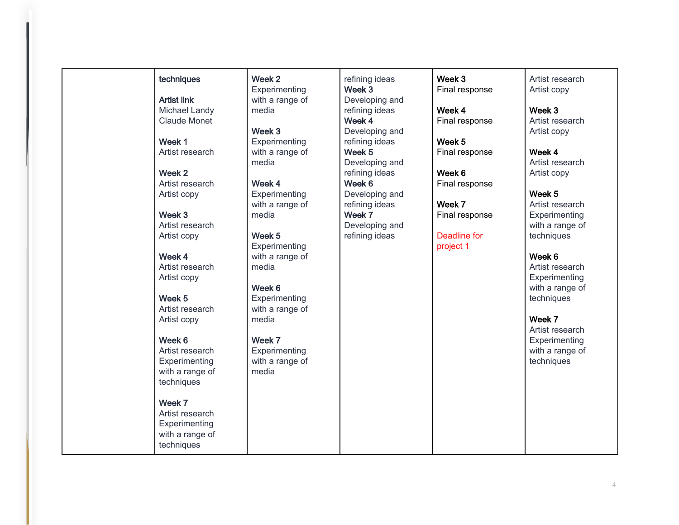#### techniques

Artist link Michael Landy Claude Monet

Week 1 Artist research

Week 2 Artist research Artist copy

Week 3 Artist research Artist copy

Week 4 Artist research Artist copy

Week 5 Artist research Artist copy

Week 6 Artist research **Experimenting** with a range of

techniques

Week 7 Artist research **Experimenting** with a range of techniques

Week 2 **Experimenting** with a range of media

Week 3 Experimenting with a range of media

Week 4 **Experimenting** with a range of media

Week 5 **Experimenting** with a range of media

Week 6 **Experimenting** with a range of media

Week 7 **Experimenting** with a range of media

refining ideas Week 3 Developing and refining ideas Week 4 Developing and refining ideas Week 5 Developing and refining ideas Week 6 Developing and refining ideas Week 7 Developing and

refining ideas

Week 3 Final response

Week 4 Final response

Week 5 Final response

Week 6 Final response

Week 7 Final response

Deadline for project 1

Artist research Artist copy

Week 3 Artist research Artist copy

Week 4 Artist research Artist copy

Week 5 Artist research **Experimenting** with a range of techniques

Week 6 Artist research **Experimenting** with a range of techniques

Week 7 Artist research **Experimenting** with a range of techniques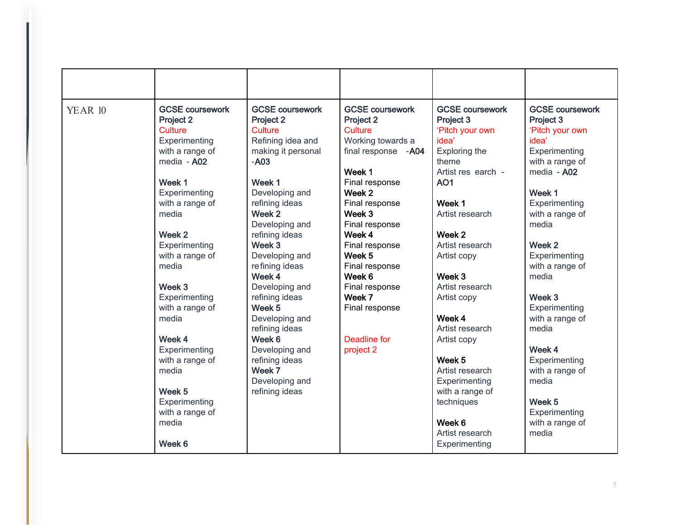| <b>YEAR 10</b> | <b>GCSE coursework</b><br>Project 2<br><b>Culture</b><br>Experimenting<br>with a range of<br>media - A02<br>Week 1<br>Experimenting<br>with a range of<br>media | <b>GCSE coursework</b><br>Project 2<br><b>Culture</b><br>Refining idea and<br>making it personal<br>$- A03$<br>Week 1<br>Developing and<br>refining ideas<br>Week 2<br>Developing and | <b>GCSE coursework</b><br>Project 2<br><b>Culture</b><br>Working towards a<br>final response - A04<br>Week 1<br>Final response<br>Week 2<br>Final response<br>Week 3<br>Final response | <b>GCSE coursework</b><br>Project 3<br>'Pitch your own<br>idea'<br>Exploring the<br>theme<br>Artist res earch -<br><b>AO1</b><br>Week 1<br>Artist research | <b>GCSE coursework</b><br>Project 3<br>'Pitch your own<br>idea'<br>Experimenting<br>with a range of<br>media - A02<br>Week 1<br>Experimenting<br>with a range of<br>media |
|----------------|-----------------------------------------------------------------------------------------------------------------------------------------------------------------|---------------------------------------------------------------------------------------------------------------------------------------------------------------------------------------|----------------------------------------------------------------------------------------------------------------------------------------------------------------------------------------|------------------------------------------------------------------------------------------------------------------------------------------------------------|---------------------------------------------------------------------------------------------------------------------------------------------------------------------------|
|                | Week 2<br>Experimenting<br>with a range of<br>media<br>Week 3                                                                                                   | refining ideas<br>Week 3<br>Developing and<br>refining ideas<br>Week 4<br>Developing and                                                                                              | Week 4<br>Final response<br>Week 5<br>Final response<br>Week 6<br>Final response                                                                                                       | Week 2<br>Artist research<br>Artist copy<br>Week 3<br>Artist research                                                                                      | Week 2<br>Experimenting<br>with a range of<br>media                                                                                                                       |
|                | Experimenting<br>with a range of<br>media<br>Week 4<br>Experimenting<br>with a range of                                                                         | refining ideas<br>Week <sub>5</sub><br>Developing and<br>refining ideas<br>Week 6<br>Developing and<br>refining ideas                                                                 | Week 7<br>Final response<br>Deadline for<br>project 2                                                                                                                                  | Artist copy<br>Week 4<br>Artist research<br>Artist copy<br>Week 5                                                                                          | Week 3<br>Experimenting<br>with a range of<br>media<br>Week 4<br>Experimenting                                                                                            |
|                | media<br>Week 5<br>Experimenting<br>with a range of<br>media<br>Week 6                                                                                          | Week 7<br>Developing and<br>refining ideas                                                                                                                                            |                                                                                                                                                                                        | Artist research<br>Experimenting<br>with a range of<br>techniques<br>Week 6<br>Artist research<br>Experimenting                                            | with a range of<br>media<br>Week 5<br>Experimenting<br>with a range of<br>media                                                                                           |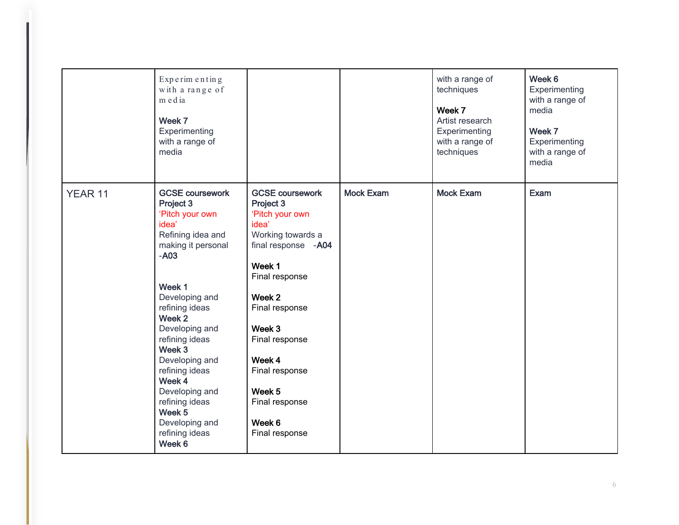|         | Experimenting<br>with a range of<br>media<br>Week 7<br>Experimenting<br>with a range of<br>media                                                                                                                                                                                                                                                                      |                                                                                                                                                                                                                                                                                     |                  | with a range of<br>techniques<br>Week 7<br>Artist research<br>Experimenting<br>with a range of<br>techniques | Week 6<br>Experimenting<br>with a range of<br>media<br>Week 7<br>Experimenting<br>with a range of<br>media |
|---------|-----------------------------------------------------------------------------------------------------------------------------------------------------------------------------------------------------------------------------------------------------------------------------------------------------------------------------------------------------------------------|-------------------------------------------------------------------------------------------------------------------------------------------------------------------------------------------------------------------------------------------------------------------------------------|------------------|--------------------------------------------------------------------------------------------------------------|------------------------------------------------------------------------------------------------------------|
| YEAR 11 | <b>GCSE coursework</b><br>Project 3<br>'Pitch your own<br>idea'<br>Refining idea and<br>making it personal<br>$- A03$<br>Week 1<br>Developing and<br>refining ideas<br>Week 2<br>Developing and<br>refining ideas<br>Week 3<br>Developing and<br>refining ideas<br>Week 4<br>Developing and<br>refining ideas<br>Week 5<br>Developing and<br>refining ideas<br>Week 6 | <b>GCSE coursework</b><br>Project 3<br>'Pitch your own<br>idea'<br>Working towards a<br>final response -A04<br>Week 1<br>Final response<br>Week 2<br>Final response<br>Week 3<br>Final response<br>Week 4<br>Final response<br>Week 5<br>Final response<br>Week 6<br>Final response | <b>Mock Exam</b> | <b>Mock Exam</b>                                                                                             | <b>Exam</b>                                                                                                |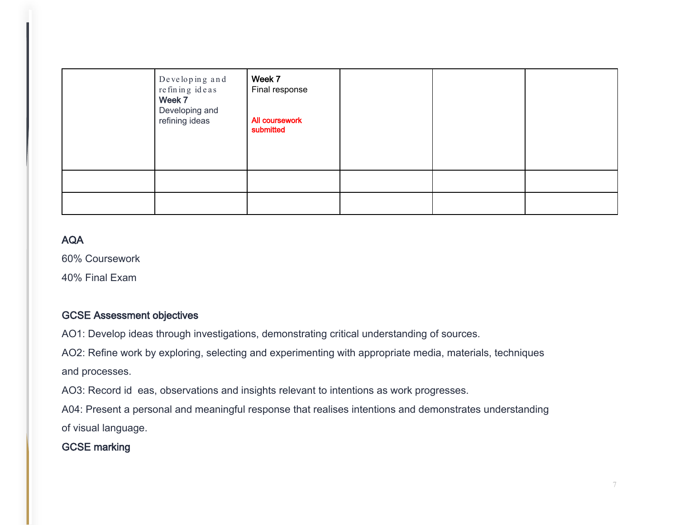| Developing and<br>re fin in g ideas<br>Week 7<br>Developing and<br>refining ideas | Week 7<br>Final response<br>All coursework<br>submitted |  |  |
|-----------------------------------------------------------------------------------|---------------------------------------------------------|--|--|
|                                                                                   |                                                         |  |  |
|                                                                                   |                                                         |  |  |

### AQA

60% Coursework

40% Final Exam

#### GCSE Assessment objectives

AO1: Develop ideas through investigations, demonstrating critical understanding of sources.

AO2: Refine work by exploring, selecting and experimenting with appropriate media, materials, techniques and processes.

AO3: Record id eas, observations and insights relevant to intentions as work progresses.

A04: Present a personal and meaningful response that realises intentions and demonstrates understanding of visual language.

GCSE marking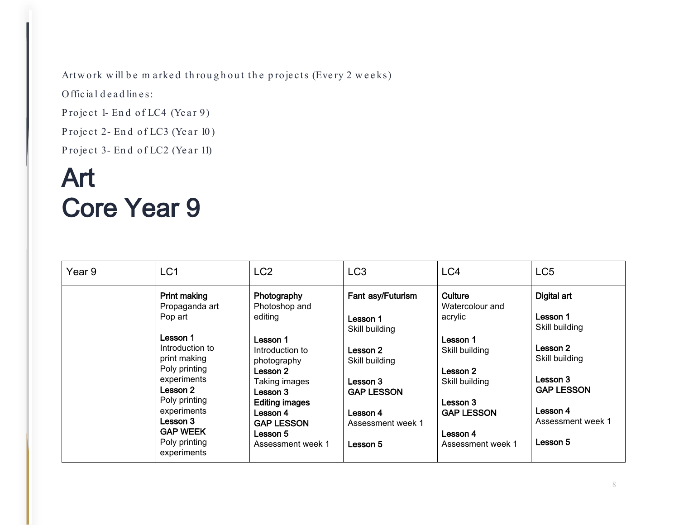Artwork will be m arked throughout the projects (Every 2 weeks)

Official deadlines:

Project 1- End of LC4 (Year 9)

Project 2- End of LC3 (Year 10)

Project 3- End of LC2 (Year 11)

## Art Core Year 9

| Year 9 | LC <sub>1</sub>                                                                                          | LC <sub>2</sub>                                                                                              | LC <sub>3</sub>                                             | LC4                                                                  | LC <sub>5</sub>                                             |
|--------|----------------------------------------------------------------------------------------------------------|--------------------------------------------------------------------------------------------------------------|-------------------------------------------------------------|----------------------------------------------------------------------|-------------------------------------------------------------|
|        | <b>Print making</b><br>Propaganda art<br>Pop art                                                         | Photography<br>Photoshop and<br>editing                                                                      | Fant asy/Futurism<br>Lesson 1<br>Skill building             | Culture<br>Watercolour and<br>acrylic                                | Digital art<br>Lesson 1<br>Skill building                   |
|        | Lesson 1<br>Introduction to<br>print making<br>Poly printing<br>experiments<br>Lesson 2<br>Poly printing | Lesson 1<br>Introduction to<br>photography<br>Lesson 2<br>Taking images<br>Lesson 3<br><b>Editing images</b> | Lesson 2<br>Skill building<br>Lesson 3<br><b>GAP LESSON</b> | Lesson 1<br>Skill building<br>Lesson 2<br>Skill building<br>Lesson 3 | Lesson 2<br>Skill building<br>Lesson 3<br><b>GAP LESSON</b> |
|        | experiments<br>Lesson 3<br><b>GAP WEEK</b><br>Poly printing<br>experiments                               | Lesson 4<br><b>GAP LESSON</b><br>Lesson 5<br>Assessment week 1                                               | Lesson 4<br>Assessment week 1<br>Lesson 5                   | <b>GAP LESSON</b><br>Lesson 4<br>Assessment week 1                   | Lesson 4<br>Assessment week 1<br>Lesson 5                   |